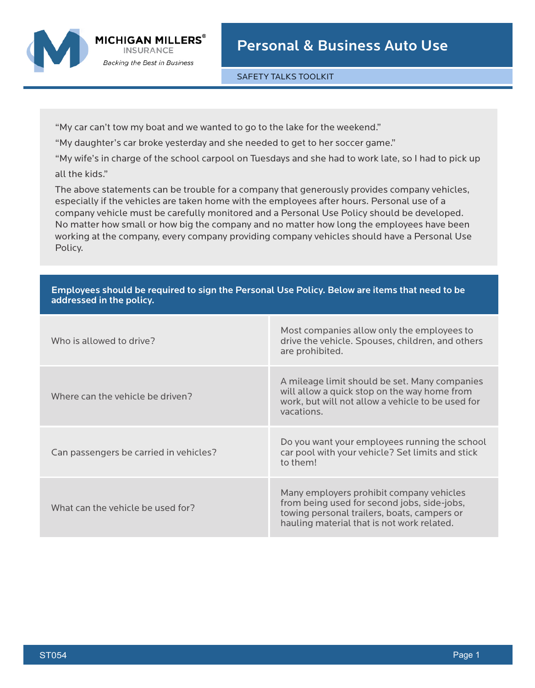SAFETY TALKS TOOLKIT

"My car can't tow my boat and we wanted to go to the lake for the weekend."

"My daughter's car broke yesterday and she needed to get to her soccer game."

"My wife's in charge of the school carpool on Tuesdays and she had to work late, so I had to pick up all the kids."

The above statements can be trouble for a company that generously provides company vehicles, especially if the vehicles are taken home with the employees after hours. Personal use of a company vehicle must be carefully monitored and a Personal Use Policy should be developed. No matter how small or how big the company and no matter how long the employees have been working at the company, every company providing company vehicles should have a Personal Use Policy.

| Employees should be required to sign the Personal Use Policy. Below are items that heed to be<br>addressed in the policy. |                                        |                                                                                                                                                                                      |
|---------------------------------------------------------------------------------------------------------------------------|----------------------------------------|--------------------------------------------------------------------------------------------------------------------------------------------------------------------------------------|
|                                                                                                                           | Who is allowed to drive?               | Most companies allow only the employees to<br>drive the vehicle. Spouses, children, and others<br>are prohibited.                                                                    |
|                                                                                                                           | Where can the vehicle be driven?       | A mileage limit should be set. Many companies<br>will allow a quick stop on the way home from<br>work, but will not allow a vehicle to be used for<br>vacations.                     |
|                                                                                                                           | Can passengers be carried in vehicles? | Do you want your employees running the school<br>car pool with your vehicle? Set limits and stick<br>to them!                                                                        |
|                                                                                                                           | What can the vehicle be used for?      | Many employers prohibit company vehicles<br>from being used for second jobs, side-jobs,<br>towing personal trailers, boats, campers or<br>hauling material that is not work related. |

## Employees should be required to sign the Personal Use Policy. Below are items that need to be